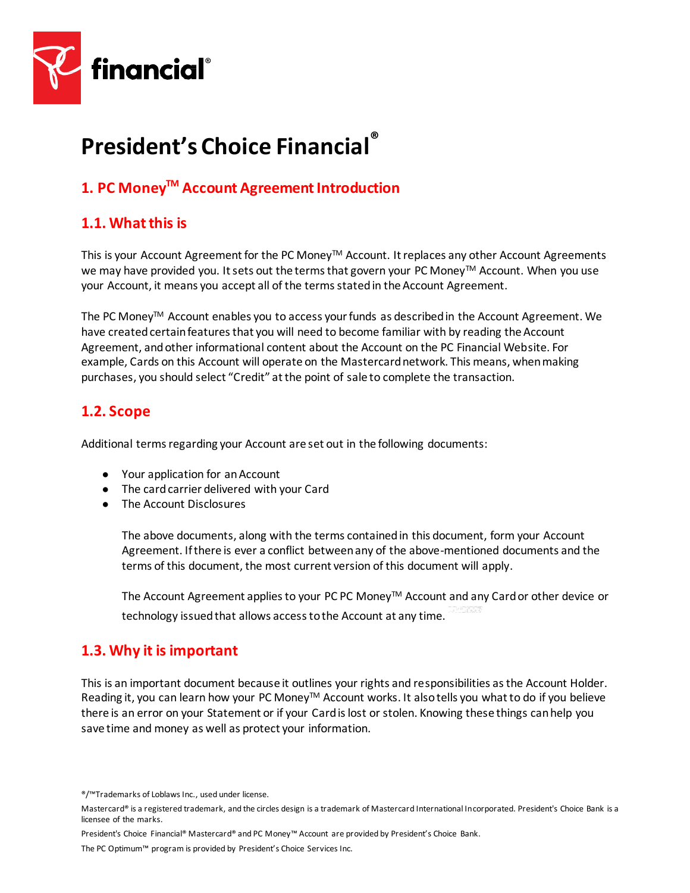

# **President's Choice Financial®**

## **1. PC MoneyTM Account Agreement Introduction**

## **1.1. What this is**

This is your Account Agreement for the PC Money™ Account. It replaces any other Account Agreements we may have provided you. It sets out the terms that govern your PC Money™ Account. When you use your Account, it means you accept all of the terms stated in the Account Agreement.

The PC Money<sup>™</sup> Account enables you to access your funds as described in the Account Agreement. We have created certain features that you will need to become familiar with by reading the Account Agreement, and other informational content about the Account on the PC Financial Website. For example, Cards on this Account will operate on the Mastercard network. This means, when making purchases, you should select "Credit" at the point of sale to complete the transaction.

## **1.2. Scope**

Additional terms regarding your Account are set out in the following documents:

- Your application for an Account
- The card carrier delivered with your Card
- The Account Disclosures

The above documents, along with the terms contained in this document, form your Account Agreement. If there is ever a conflict between any of the above-mentioned documents and the terms of this document, the most current version of this document will apply.

The Account Agreement applies to your PC PC Money™ Account and any Card or other device or technology issued that allows access to the Account at any time.

## **1.3. Why it is important**

This is an important document because it outlines your rights and responsibilities as the Account Holder. Reading it, you can learn how your PC Money™ Account works. It also tells you what to do if you believe there is an error on your Statement or if your Card is lost or stolen. Knowing these things can help you save time and money as well as protect your information.

President's Choice Financial® Mastercard® and PC Money™ Account are provided by President's Choice Bank.

<sup>®/™</sup>Trademarks of Loblaws Inc., used under license.

Mastercard® is a registered trademark, and the circles design is a trademark of Mastercard International Incorporated. President's Choice Bank is a licensee of the marks.

The PC Optimum™ program is provided by President's Choice Services Inc.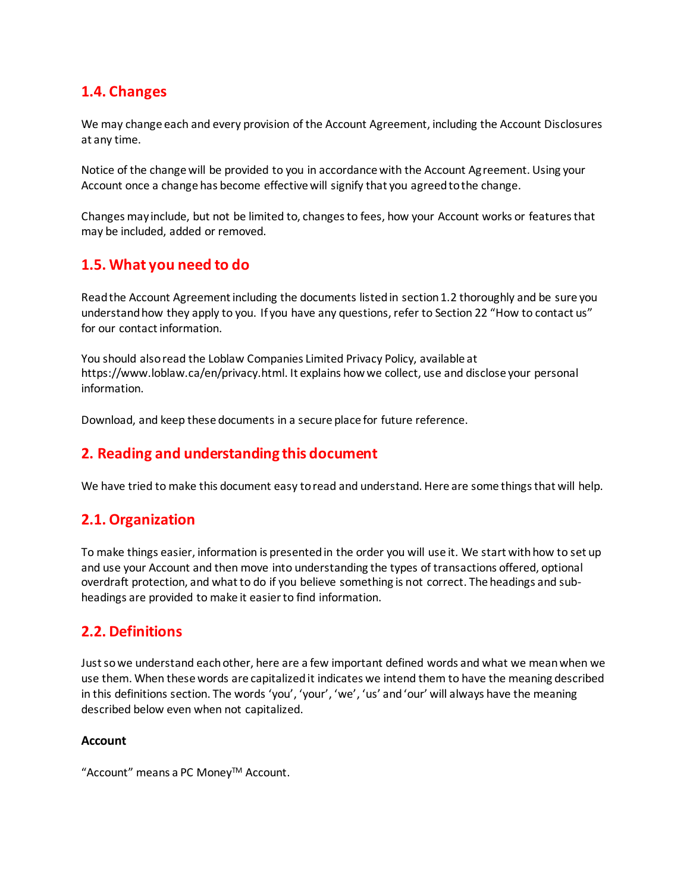## **1.4. Changes**

We may change each and every provision of the Account Agreement, including the Account Disclosures at any time.

Notice of the change will be provided to you in accordance with the Account Agreement. Using your Account once a change has become effective will signify that you agreed to the change.

Changes may include, but not be limited to, changes to fees, how your Account works or features that may be included, added or removed.

## **1.5. What you need to do**

Read the Account Agreement including the documents listed in section 1.2 thoroughly and be sure you understand how they apply to you. If you have any questions, refer to Section 22 "How to contact us" for our contact information.

You should also read the Loblaw Companies Limited Privacy Policy, available at https://www.loblaw.ca/en/privacy.html. It explains how we collect, use and disclose your personal information.

Download, and keep these documents in a secure place for future reference.

## **2. Reading and understanding this document**

We have tried to make this document easy to read and understand. Here are some things that will help.

## **2.1. Organization**

To make things easier, information is presented in the order you will use it. We start with how to set up and use your Account and then move into understanding the types of transactions offered, optional overdraft protection, and what to do if you believe something is not correct. The headings and subheadings are provided to make it easier to find information.

## **2.2. Definitions**

Just so we understand each other, here are a few important defined words and what we mean when we use them. When these words are capitalized it indicates we intend them to have the meaning described in this definitions section. The words 'you', 'your', 'we', 'us' and 'our' will always have the meaning described below even when not capitalized.

#### **Account**

"Account" means a PC MoneyTM Account.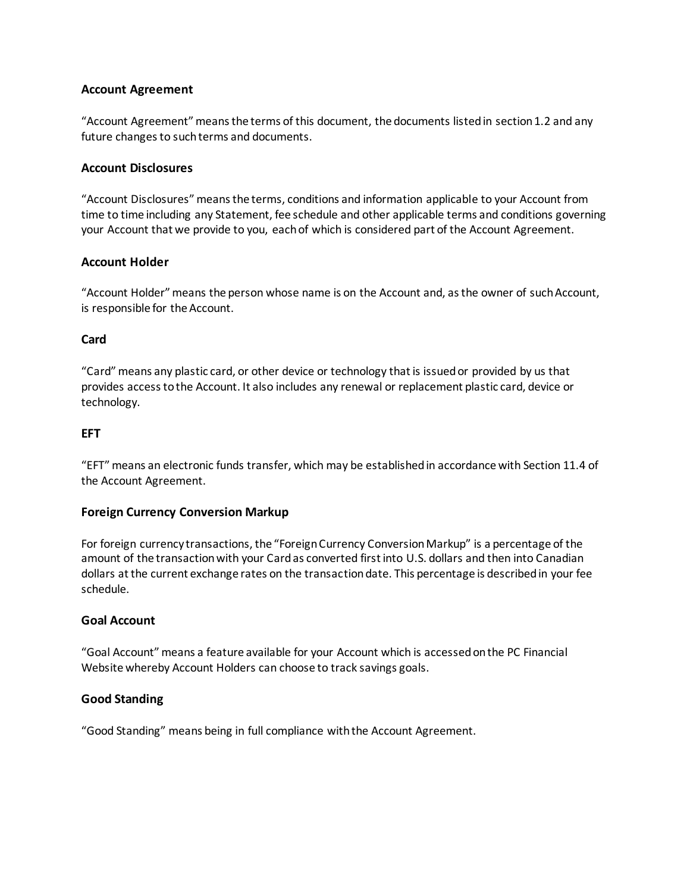#### **Account Agreement**

"Account Agreement" means the terms of this document, the documents listed in section 1.2 and any future changes to such terms and documents.

#### **Account Disclosures**

"Account Disclosures" means the terms, conditions and information applicable to your Account from time to time including any Statement, fee schedule and other applicable terms and conditions governing your Account that we provide to you, each of which is considered part of the Account Agreement.

#### **Account Holder**

"Account Holder" means the person whose name is on the Account and, as the owner of such Account, is responsible for the Account.

#### **Card**

"Card" means any plastic card, or other device or technology that is issued or provided by us that provides access to the Account. It also includes any renewal or replacement plastic card, device or technology.

#### **EFT**

"EFT" means an electronic funds transfer, which may be established in accordance with Section 11.4 of the Account Agreement.

#### **Foreign Currency Conversion Markup**

For foreign currency transactions, the "Foreign Currency Conversion Markup" is a percentage of the amount of the transaction with your Card as converted first into U.S. dollars and then into Canadian dollars at the current exchange rates on the transaction date. This percentage is described in your fee schedule.

#### **Goal Account**

"Goal Account" means a feature available for your Account which is accessed on the PC Financial Website whereby Account Holders can choose to track savings goals.

#### **Good Standing**

"Good Standing" means being in full compliance with the Account Agreement.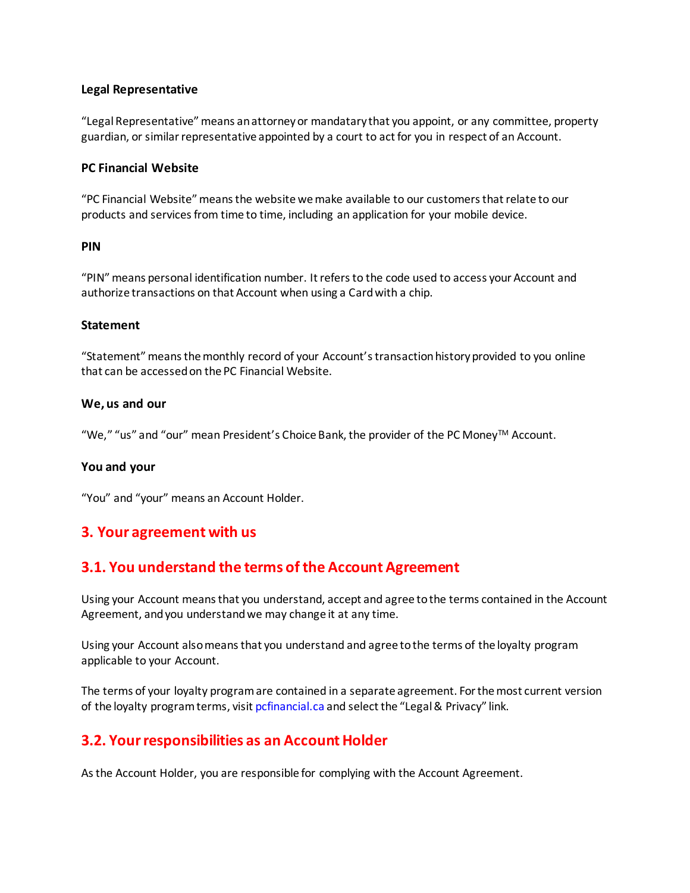#### **Legal Representative**

"Legal Representative" means an attorney or mandatary that you appoint, or any committee, property guardian, or similar representative appointed by a court to act for you in respect of an Account.

#### **PC Financial Website**

"PC Financial Website" means the website we make available to our customers that relate to our products and services from time to time, including an application for your mobile device.

#### **PIN**

"PIN" means personal identification number. It refers to the code used to access your Account and authorize transactions on that Account when using a Card with a chip.

#### **Statement**

"Statement" means the monthly record of your Account's transaction history provided to you online that can be accessed on the PC Financial Website.

#### **We, us and our**

"We," "us" and "our" mean President's Choice Bank, the provider of the PC MoneyTM Account.

#### **You and your**

"You" and "your" means an Account Holder.

### **3. Your agreement with us**

## **3.1. You understand the terms of the Account Agreement**

Using your Account means that you understand, accept and agree to the terms contained in the Account Agreement, and you understand we may change it at any time.

Using your Account also means that you understand and agree to the terms of the loyalty program applicable to your Account.

The terms of your loyalty program are contained in a separate agreement. For the most current version of the loyalty program terms, visit pcfinancial.ca and select the "Legal & Privacy" link.

## **3.2. Your responsibilities as an Account Holder**

As the Account Holder, you are responsible for complying with the Account Agreement.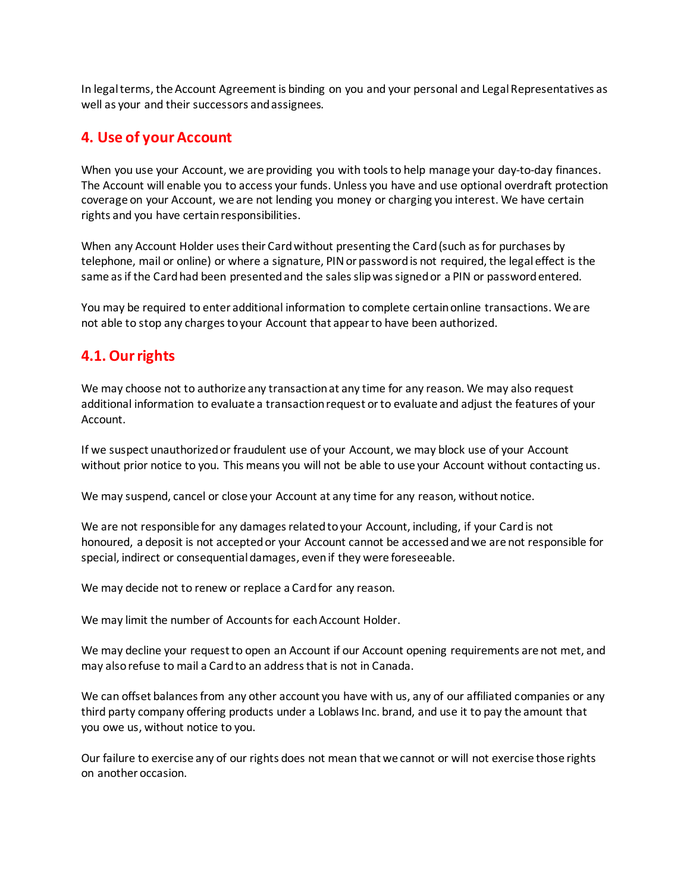In legal terms, the Account Agreement is binding on you and your personal and Legal Representatives as well as your and their successors and assignees.

#### **4. Use of yourAccount**

When you use your Account, we are providing you with tools to help manage your day-to-day finances. The Account will enable you to access your funds. Unless you have and use optional overdraft protection coverage on your Account, we are not lending you money or charging you interest. We have certain rights and you have certain responsibilities.

When any Account Holder uses their Card without presenting the Card (such as for purchases by telephone, mail or online) or where a signature, PIN or password is not required, the legal effect is the same as if the Card had been presented and the sales slip was signed or a PIN or password entered.

You may be required to enter additional information to complete certain online transactions. We are not able to stop any charges to your Account that appear to have been authorized.

### **4.1. Our rights**

We may choose not to authorize any transaction at any time for any reason. We may also request additional information to evaluate a transaction request or to evaluate and adjust the features of your Account.

If we suspect unauthorized or fraudulent use of your Account, we may block use of your Account without prior notice to you. This means you will not be able to use your Account without contacting us.

We may suspend, cancel or close your Account at any time for any reason, without notice.

We are not responsible for any damages related to your Account, including, if your Card is not honoured, a deposit is not accepted or your Account cannot be accessed and we are not responsible for special, indirect or consequential damages, even if they were foreseeable.

We may decide not to renew or replace a Card for any reason.

We may limit the number of Accounts for each Account Holder.

We may decline your request to open an Account if our Account opening requirements are not met, and may also refuse to mail a Card to an address that is not in Canada.

We can offset balances from any other account you have with us, any of our affiliated companies or any third party company offering products under a Loblaws Inc. brand, and use it to pay the amount that you owe us, without notice to you.

Our failure to exercise any of our rights does not mean that we cannot or will not exercise those rights on another occasion.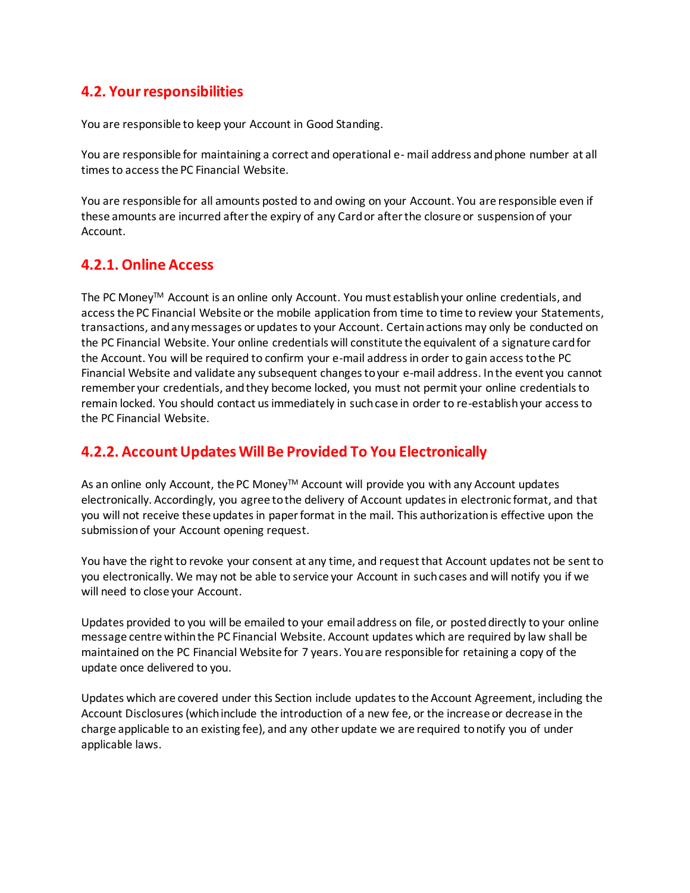## **4.2. Your responsibilities**

You are responsible to keep your Account in Good Standing.

You are responsible for maintaining a correct and operational e- mail address and phone number at all times to access the PC Financial Website.

You are responsible for all amounts posted to and owing on your Account. You are responsible even if these amounts are incurred after the expiry of any Card or after the closure or suspension of your Account.

### **4.2.1. Online Access**

The PC Money<sup>™</sup> Account is an online only Account. You must establish your online credentials, and access the PC Financial Website or the mobile application from time to time to review your Statements, transactions, and any messages or updates to your Account. Certain actions may only be conducted on the PC Financial Website. Your online credentials will constitute the equivalent of a signature card for the Account. You will be required to confirm your e-mail address in order to gain access to the PC Financial Website and validate any subsequent changes to your e-mail address. In the event you cannot remember your credentials, and they become locked, you must not permit your online credentials to remain locked. You should contact us immediately in such case in order to re-establish your access to the PC Financial Website.

## **4.2.2. Account Updates Will Be Provided To You Electronically**

As an online only Account, the PC Money™ Account will provide you with any Account updates electronically. Accordingly, you agree to the delivery of Account updates in electronic format, and that you will not receive these updates in paper format in the mail. This authorization is effective upon the submission of your Account opening request.

You have the right to revoke your consent at any time, and request that Account updates not be sent to you electronically. We may not be able to service your Account in such cases and will notify you if we will need to close your Account.

Updates provided to you will be emailed to your email address on file, or posted directly to your online message centre within the PC Financial Website. Account updates which are required by law shall be maintained on the PC Financial Website for 7 years. You are responsible for retaining a copy of the update once delivered to you.

Updates which are covered under this Section include updates to the Account Agreement, including the Account Disclosures (which include the introduction of a new fee, or the increase or decrease in the charge applicable to an existing fee), and any other update we are required to notify you of under applicable laws.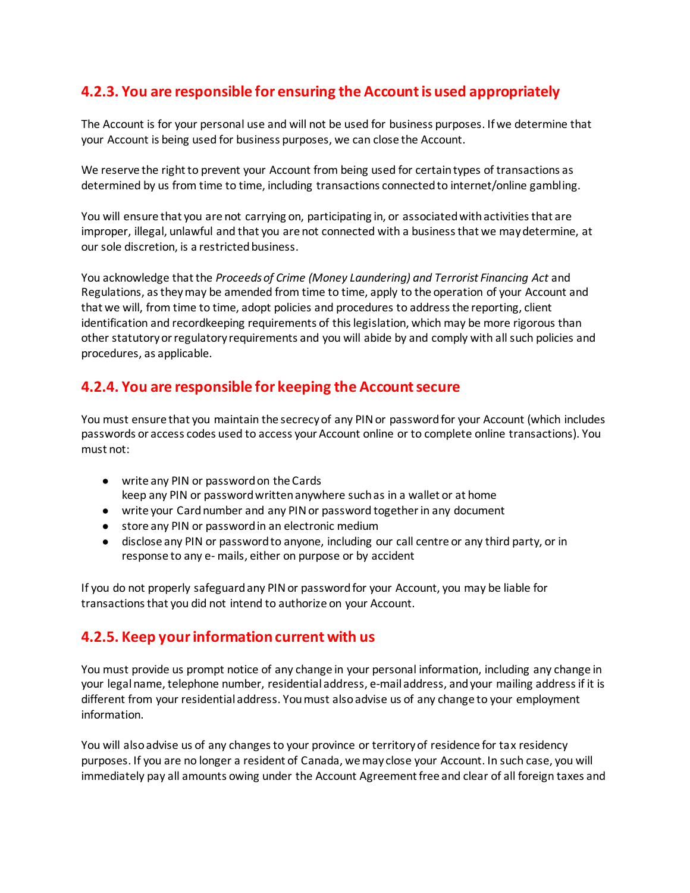## **4.2.3. You are responsible for ensuring the Account is used appropriately**

The Account is for your personal use and will not be used for business purposes. If we determine that your Account is being used for business purposes, we can close the Account.

We reserve the right to prevent your Account from being used for certain types of transactions as determined by us from time to time, including transactions connected to internet/online gambling.

You will ensure that you are not carrying on, participating in, or associated with activities that are improper, illegal, unlawful and that you are not connected with a business that we may determine, at our sole discretion, is a restricted business.

You acknowledge that the *Proceeds of Crime (Money Laundering) and Terrorist Financing Act and* Regulations, as they may be amended from time to time, apply to the operation of your Account and that we will, from time to time, adopt policies and procedures to address the reporting, client identification and recordkeeping requirements of this legislation, which may be more rigorous than other statutory or regulatory requirements and you will abide by and comply with all such policies and procedures, as applicable.

## **4.2.4. You are responsible for keeping the Account secure**

You must ensure that you maintain the secrecy of any PIN or password for your Account (which includes passwords or access codes used to access your Account online or to complete online transactions). You must not:

- write any PIN or password on the Cards keep any PIN or password written anywhere such as in a wallet or at home
- write your Card number and any PIN or password together in any document
- store any PIN or password in an electronic medium
- disclose any PIN or password to anyone, including our call centre or any third party, or in response to any e- mails, either on purpose or by accident

If you do not properly safeguard any PIN or password for your Account, you may be liable for transactions that you did not intend to authorize on your Account.

## **4.2.5. Keep your information current with us**

You must provide us prompt notice of any change in your personal information, including any change in your legal name, telephone number, residential address, e-mail address, and your mailing address if it is different from your residential address. You must also advise us of any change to your employment information.

You will also advise us of any changes to your province or territory of residence for tax residency purposes. If you are no longer a resident of Canada, we may close your Account. In such case, you will immediately pay all amounts owing under the Account Agreement free and clear of all foreign taxes and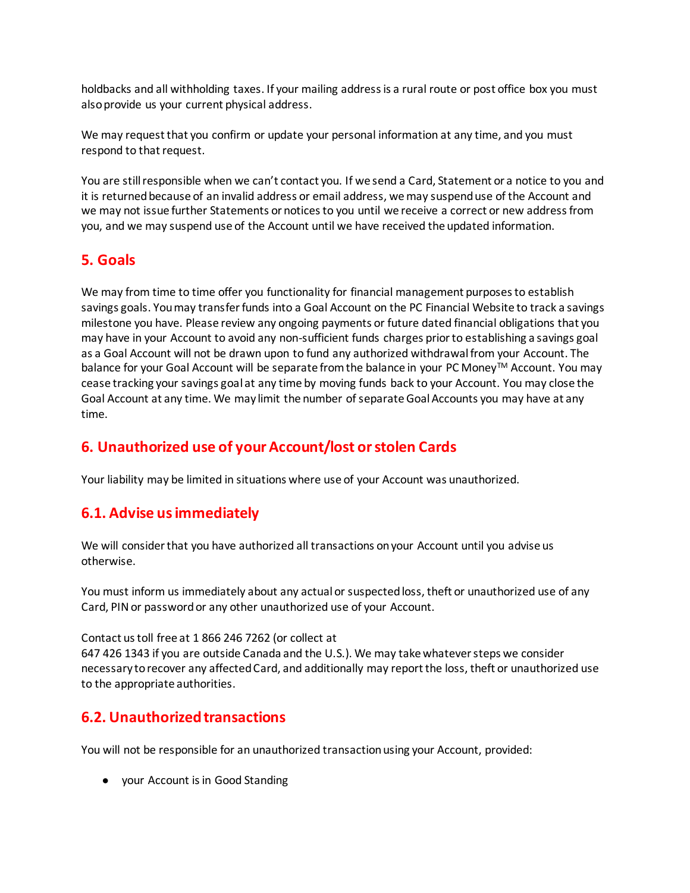holdbacks and all withholding taxes. If your mailing address is a rural route or post office box you must also provide us your current physical address.

We may request that you confirm or update your personal information at any time, and you must respond to that request.

You are still responsible when we can't contact you. If we send a Card, Statement or a notice to you and it is returned because of an invalid address or email address, we may suspend use of the Account and we may not issue further Statements or notices to you until we receive a correct or new address from you, and we may suspend use of the Account until we have received the updated information.

## **5. Goals**

We may from time to time offer you functionality for financial management purposes to establish savings goals. You may transfer funds into a Goal Account on the PC Financial Website to track a savings milestone you have. Please review any ongoing payments or future dated financial obligations that you may have in your Account to avoid any non-sufficient funds charges prior to establishing a savings goal as a Goal Account will not be drawn upon to fund any authorized withdrawal from your Account. The balance for your Goal Account will be separate from the balance in your PC Money™ Account. You may cease tracking your savings goal at any time by moving funds back to your Account. You may close the Goal Account at any time. We may limit the number of separate Goal Accounts you may have at any time.

## **6. Unauthorized use of yourAccount/lost orstolen Cards**

Your liability may be limited in situations where use of your Account was unauthorized.

## **6.1. Advise us immediately**

We will consider that you have authorized all transactions on your Account until you advise us otherwise.

You must inform us immediately about any actual or suspected loss, theft or unauthorized use of any Card, PIN or password or any other unauthorized use of your Account.

Contact us toll free at 1 866 246 7262 (or collect at 647 426 1343 if you are outside Canada and the U.S.). We may take whatever steps we consider necessary to recover any affected Card, and additionally may report the loss, theft or unauthorized use to the appropriate authorities.

## **6.2. Unauthorized transactions**

You will not be responsible for an unauthorized transaction using your Account, provided:

● your Account is in Good Standing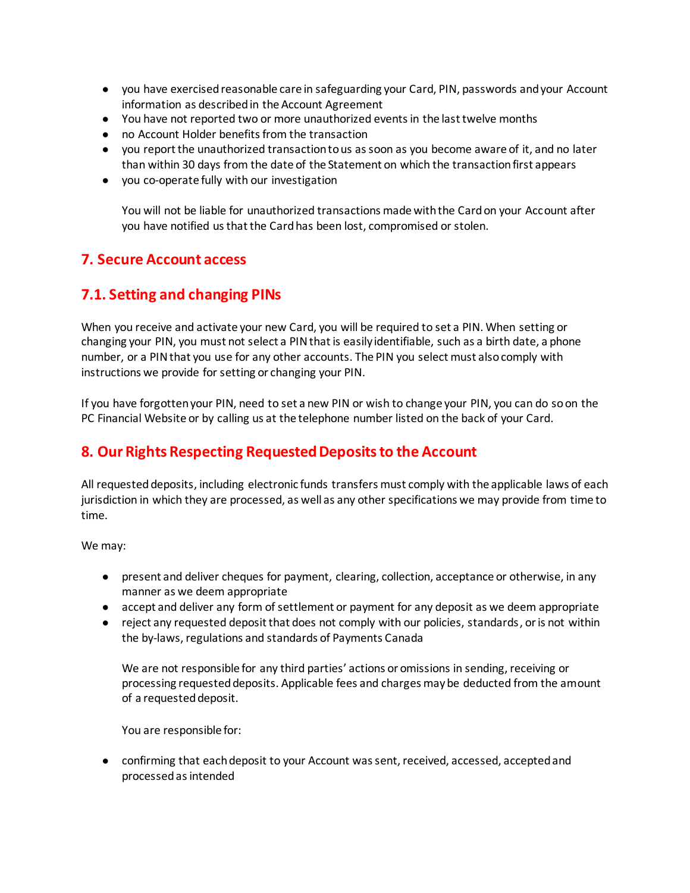- you have exercised reasonable care in safeguarding your Card, PIN, passwords and your Account information as described in the Account Agreement
- You have not reported two or more unauthorized events in the last twelve months
- no Account Holder benefits from the transaction
- you report the unauthorized transaction to us as soon as you become aware of it, and no later than within 30 days from the date of the Statement on which the transaction first appears
- you co-operate fully with our investigation

You will not be liable for unauthorized transactions made with the Card on your Account after you have notified us that the Card has been lost, compromised or stolen.

### **7. Secure Account access**

### **7.1. Setting and changing PINs**

When you receive and activate your new Card, you will be required to set a PIN. When setting or changing your PIN, you must not select a PIN that is easily identifiable, such as a birth date, a phone number, or a PIN that you use for any other accounts. The PIN you select must also comply with instructions we provide for setting or changing your PIN.

If you have forgotten your PIN, need to set a new PIN or wish to change your PIN, you can do so on the PC Financial Website or by calling us at the telephone number listed on the back of your Card.

## **8. Our Rights Respecting Requested Deposits to the Account**

All requesteddeposits, including electronic funds transfers must comply with the applicable laws of each jurisdiction in which they are processed, as well as any other specifications we may provide from time to time.

We may:

- present and deliver cheques for payment, clearing, collection, acceptance or otherwise, in any manner as we deem appropriate
- accept and deliver any form of settlement or payment for any deposit as we deem appropriate
- reject any requested deposit that does not comply with our policies, standards, or is not within the by-laws, regulations and standards of Payments Canada

We are not responsible for any third parties' actions or omissions in sending, receiving or processing requested deposits. Applicable fees and charges may be deducted from the amount of a requested deposit.

You are responsible for:

● confirming that each deposit to your Account was sent, received, accessed, accepted and processed as intended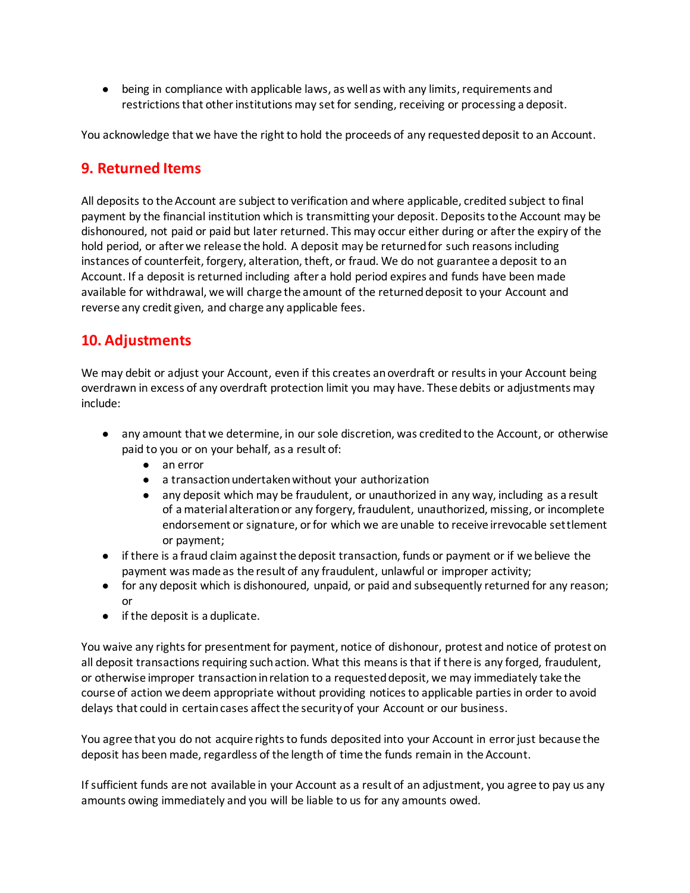● being in compliance with applicable laws, as well as with any limits, requirements and restrictions that other institutions may set for sending, receiving or processing a deposit.

You acknowledge that we have the right to hold the proceeds of any requested deposit to an Account.

#### **9. Returned Items**

All deposits to the Account are subject to verification and where applicable, credited subject to final payment by the financial institution which is transmitting your deposit. Deposits to the Account may be dishonoured, not paid or paid but later returned. This may occur either during or after the expiry of the hold period, or after we release the hold. A deposit may be returned for such reasons including instances of counterfeit, forgery, alteration, theft, or fraud. We do not guarantee a deposit to an Account. If a deposit is returned including after a hold period expires and funds have been made available for withdrawal, we will charge the amount of the returned deposit to your Account and reverse any credit given, and charge any applicable fees.

## **10. Adjustments**

We may debit or adjust your Account, even if this creates an overdraft or results in your Account being overdrawn in excess of any overdraft protection limit you may have. These debits or adjustments may include:

- any amount that we determine, in our sole discretion, was credited to the Account, or otherwise paid to you or on your behalf, as a result of:
	- an error
	- a transaction undertaken without your authorization
	- any deposit which may be fraudulent, or unauthorized in any way, including as a result of a material alteration or any forgery, fraudulent, unauthorized, missing, or incomplete endorsement or signature, or for which we are unable to receive irrevocable settlement or payment;
- if there is a fraud claim against the deposit transaction, funds or payment or if we believe the payment was made as the result of any fraudulent, unlawful or improper activity;
- for any deposit which is dishonoured, unpaid, or paid and subsequently returned for any reason; or
- if the deposit is a duplicate.

You waive any rights for presentment for payment, notice of dishonour, protest and notice of protest on all deposit transactions requiring such action. What this means is that if there is any forged, fraudulent, or otherwise improper transaction in relation to a requested deposit, we may immediately take the course of action we deem appropriate without providing notices to applicable parties in order to avoid delays that could in certain cases affect the security of your Account or our business.

You agree that you do not acquire rights to funds deposited into your Account in error just because the deposit has been made, regardless of the length of time the funds remain in the Account.

If sufficient funds are not available in your Account as a result of an adjustment, you agree to pay us any amounts owing immediately and you will be liable to us for any amounts owed.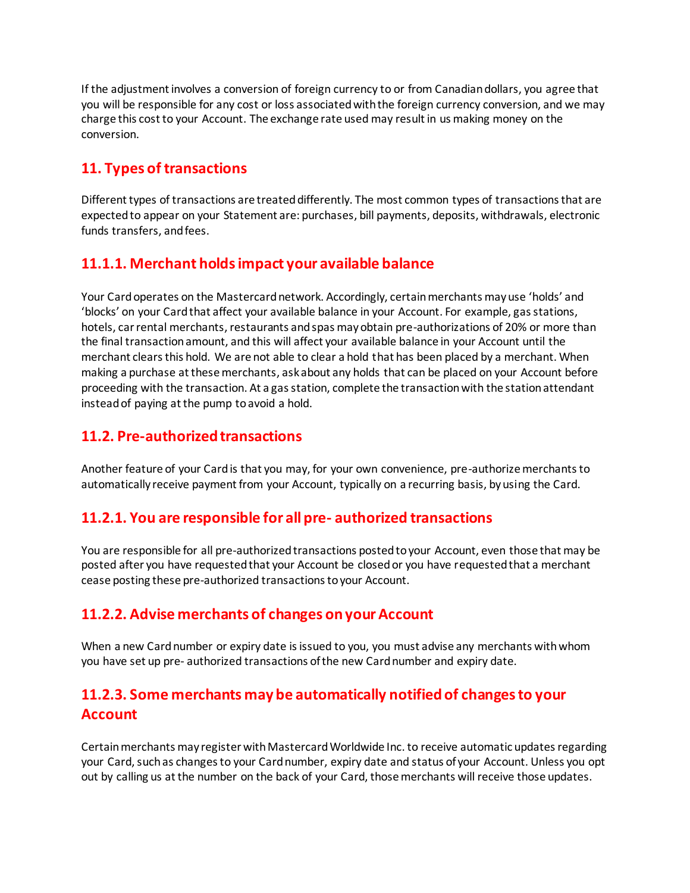If the adjustment involves a conversion of foreign currency to or from Canadian dollars, you agree that you will be responsible for any cost or loss associated with the foreign currency conversion, and we may charge this cost to your Account. The exchange rate used may result in us making money on the conversion.

## **11. Types of transactions**

Different types of transactions are treated differently. The most common types of transactions that are expected to appear on your Statement are: purchases, bill payments, deposits, withdrawals, electronic funds transfers, and fees.

## **11.1.1. Merchant holds impact your available balance**

Your Card operates on the Mastercard network. Accordingly, certain merchants may use 'holds' and 'blocks' on your Card that affect your available balance in your Account. For example, gas stations, hotels, car rental merchants, restaurants and spas may obtain pre-authorizations of 20% or more than the final transaction amount, and this will affect your available balance in your Account until the merchant clears this hold. We are not able to clear a hold that has been placed by a merchant. When making a purchase at these merchants, ask about any holds that can be placed on your Account before proceeding with the transaction. At a gas station, complete the transaction with the station attendant instead of paying at the pump to avoid a hold.

## **11.2. Pre-authorized transactions**

Another feature of your Card is that you may, for your own convenience, pre-authorize merchants to automatically receive payment from your Account, typically on a recurring basis, by using the Card.

## **11.2.1. You are responsible for all pre- authorized transactions**

You are responsible for all pre-authorized transactions posted to your Account, even those that may be posted after you have requested that your Account be closed or you have requested that a merchant cease posting these pre-authorized transactions to your Account.

## **11.2.2. Advise merchants of changes on your Account**

When a new Card number or expiry date is issued to you, you must advise any merchants with whom you have set up pre- authorized transactions of the new Card number and expiry date.

## **11.2.3. Some merchants may be automatically notified of changes to your Account**

Certain merchants may register with Mastercard Worldwide Inc. to receive automatic updates regarding your Card, such as changes to your Card number, expiry date and status of your Account. Unless you opt out by calling us at the number on the back of your Card, those merchants will receive those updates.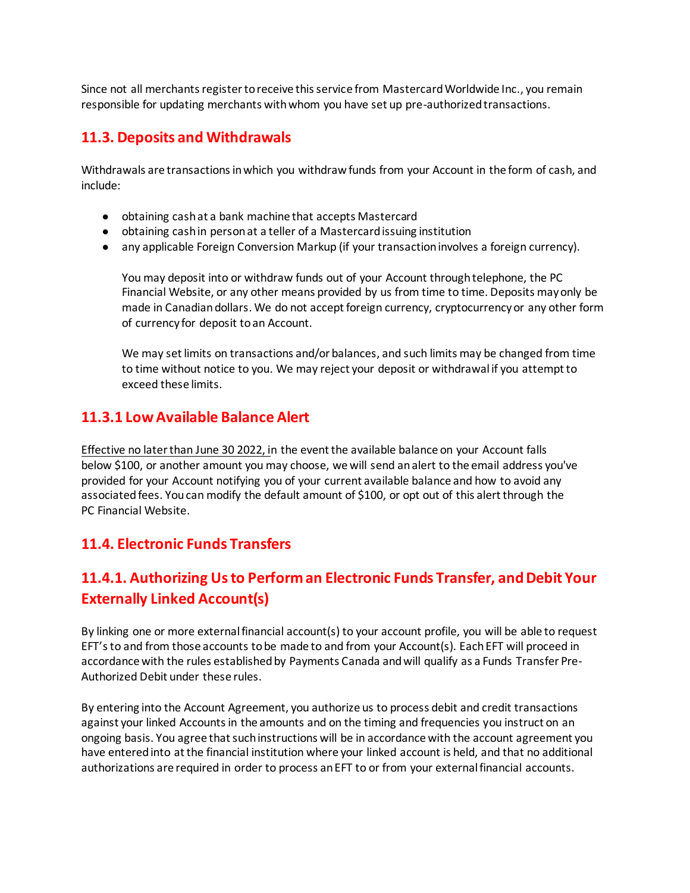Since not all merchants register to receive this service from Mastercard Worldwide Inc., you remain responsible for updating merchants with whom you have set up pre-authorized transactions.

## **11.3. Deposits and Withdrawals**

Withdrawals are transactions in which you withdraw funds from your Account in the form of cash, and include:

- obtaining cash at a bank machine that accepts Mastercard
- obtaining cash in person at a teller of a Mastercard issuing institution
- any applicable Foreign Conversion Markup (if your transaction involves a foreign currency).

You may deposit into or withdraw funds out of your Account through telephone, the PC Financial Website, or any other means provided by us from time to time. Deposits may only be made in Canadian dollars. We do not accept foreign currency, cryptocurrency or any other form of currency for deposit to an Account.

We may set limits on transactions and/or balances, and such limits may be changed from time to time without notice to you. We may reject your deposit or withdrawal if you attempt to exceed these limits.

## **11.3.1 Low Available Balance Alert**

Effective no later than June 30 2022, in the event the available balance on your Account falls below \$100, or another amount you may choose, we will send an alert to the email address you've provided for your Account notifying you of your current available balance and how to avoid any associated fees. You can modify the default amount of \$100, or opt out of this alert through the PC Financial Website.

### **11.4. Electronic Funds Transfers**

## **11.4.1. Authorizing Us to Perform an Electronic Funds Transfer, and Debit Your Externally Linked Account(s)**

By linking one or more external financial account(s) to your account profile, you will be able to request EFT's to and from those accounts to be made to and from your Account(s). Each EFT will proceed in accordance with the rules established by Payments Canada and will qualify as a Funds Transfer Pre-Authorized Debit under these rules.

By entering into the Account Agreement, you authorize us to process debit and credit transactions against your linked Accounts in the amounts and on the timing and frequencies you instruct on an ongoing basis. You agree that such instructions will be in accordance with the account agreement you have entered into at the financial institution where your linked account is held, and that no additional authorizations are required in order to process an EFT to or from your external financial accounts.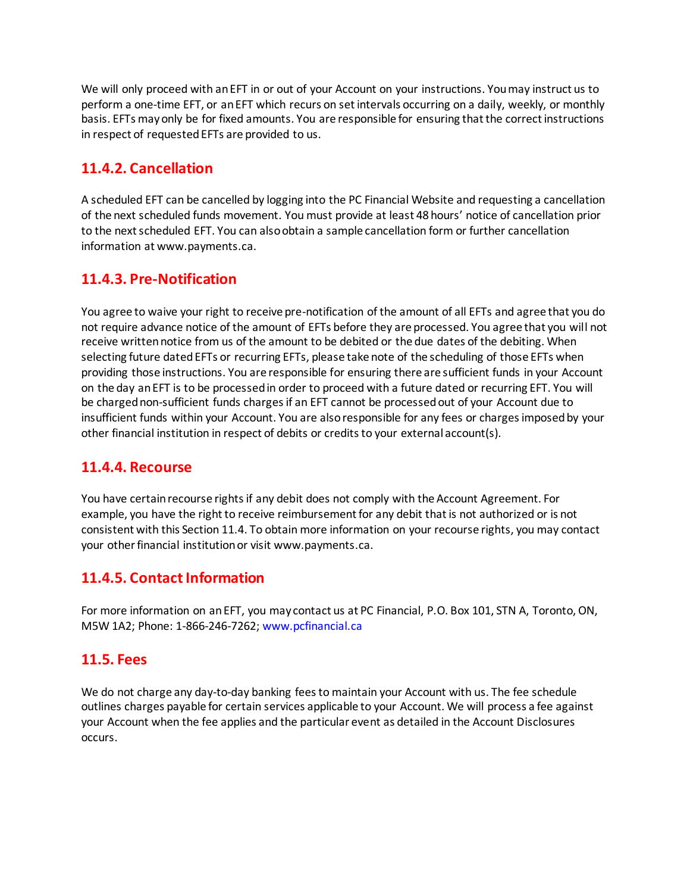We will only proceed with an EFT in or out of your Account on your instructions. You may instruct us to perform a one-time EFT, or an EFT which recurs on set intervals occurring on a daily, weekly, or monthly basis. EFTs may only be for fixed amounts. You are responsible for ensuring that the correct instructions in respect of requested EFTs are provided to us.

## **11.4.2. Cancellation**

A scheduled EFT can be cancelled by logging into the PC Financial Website and requesting a cancellation of the next scheduled funds movement. You must provide at least 48 hours' notice of cancellation prior to the next scheduled EFT. You can also obtain a sample cancellation form or further cancellation information at www.payments.ca.

## **11.4.3. Pre-Notification**

You agree to waive your right to receive pre-notification of the amount of all EFTs and agree that you do not require advance notice of the amount of EFTs before they are processed. You agree that you will not receive written notice from us of the amount to be debited or the due dates of the debiting. When selecting future dated EFTs or recurring EFTs, please take note of the scheduling of those EFTs when providing those instructions. You are responsible for ensuring there are sufficient funds in your Account on the day an EFT is to be processed in order to proceed with a future dated or recurring EFT. You will be charged non-sufficient funds charges if an EFT cannot be processed out of your Account due to insufficient funds within your Account. You are also responsible for any fees or charges imposed by your other financial institution in respect of debits or credits to your external account(s).

## **11.4.4. Recourse**

You have certain recourse rights if any debit does not comply with the Account Agreement. For example, you have the right to receive reimbursement for any debit that is not authorized or is not consistent with this Section 11.4. To obtain more information on your recourse rights, you may contact your other financial institution or visit www.payments.ca.

## **11.4.5. Contact Information**

For more information on an EFT, you may contact us at PC Financial, P.O. Box 101, STN A, Toronto, ON, M5W 1A2; Phone: 1-866-246-7262; www.pcfinancial.ca

### **11.5. Fees**

We do not charge any day-to-day banking fees to maintain your Account with us. The fee schedule outlines charges payable for certain services applicable to your Account. We will process a fee against your Account when the fee applies and the particular event as detailed in the Account Disclosures occurs.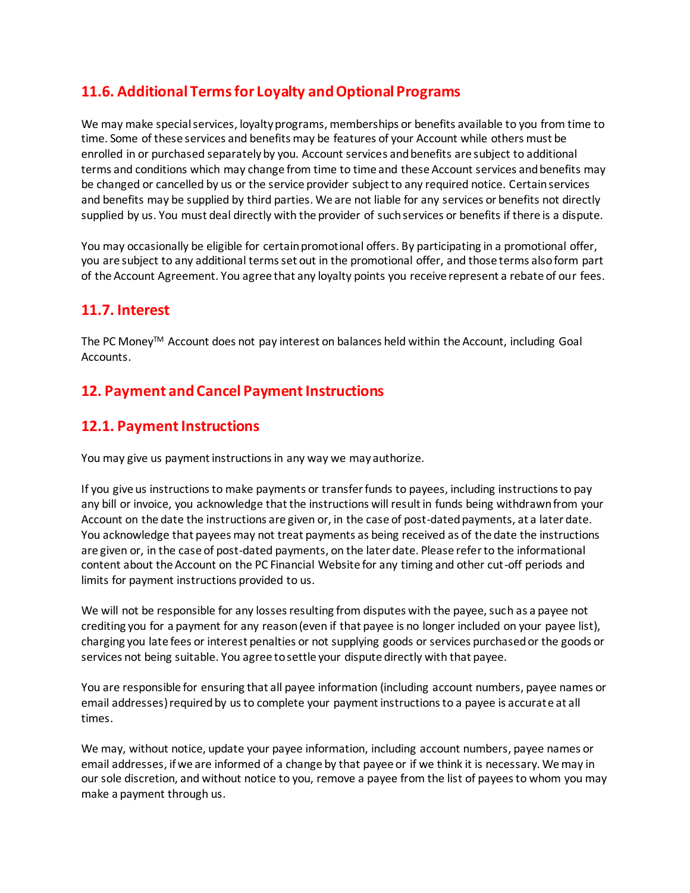## **11.6. Additional Terms for Loyalty and Optional Programs**

We may make special services, loyalty programs, memberships or benefits available to you from time to time. Some of these services and benefits may be features of your Account while others must be enrolled in or purchased separately by you. Account services and benefits are subject to additional terms and conditions which may change from time to time and these Account services and benefits may be changed or cancelled by us or the service provider subject to any required notice. Certain services and benefits may be supplied by third parties. We are not liable for any services or benefits not directly supplied by us. You must deal directly with the provider of such services or benefits if there is a dispute.

You may occasionally be eligible for certain promotional offers. By participating in a promotional offer, you are subject to any additional terms set out in the promotional offer, and those terms also form part of the Account Agreement. You agree that any loyalty points you receive represent a rebate of our fees.

### **11.7. Interest**

The PC Money™ Account does not pay interest on balances held within the Account, including Goal Accounts.

## **12. Payment and Cancel Payment Instructions**

## **12.1. Payment Instructions**

You may give us payment instructions in any way we may authorize.

If you give us instructions to make payments or transfer funds to payees, including instructions to pay any bill or invoice, you acknowledge that the instructions will result in funds being withdrawn from your Account on the date the instructions are given or, in the case of post-dated payments, at a later date. You acknowledge that payees may not treat payments as being received as of the date the instructions are given or, in the case of post-dated payments, on the later date. Please refer to the informational content about the Account on the PC Financial Website for any timing and other cut-off periods and limits for payment instructions provided to us.

We will not be responsible for any losses resulting from disputes with the payee, such as a payee not crediting you for a payment for any reason (even if that payee is no longer included on your payee list), charging you late fees or interest penalties or not supplying goods or services purchased or the goods or services not being suitable. You agree to settle your dispute directly with that payee.

You are responsible for ensuring that all payee information (including account numbers, payee names or email addresses) required by us to complete your payment instructions to a payee is accurate at all times.

We may, without notice, update your payee information, including account numbers, payee names or email addresses, if we are informed of a change by that payee or if we think it is necessary. We may in our sole discretion, and without notice to you, remove a payee from the list of payees to whom you may make a payment through us.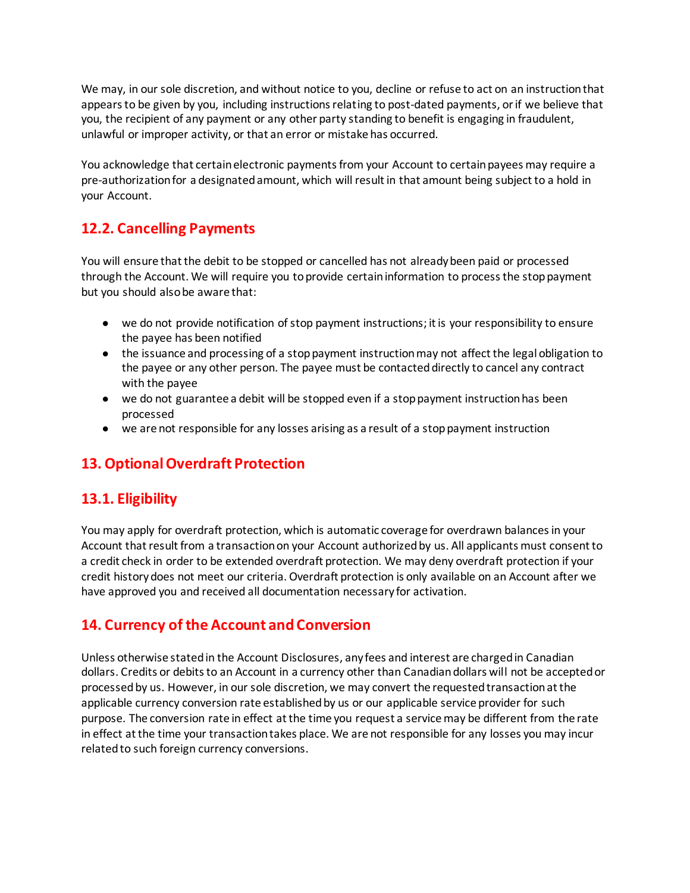We may, in our sole discretion, and without notice to you, decline or refuse to act on an instruction that appears to be given by you, including instructions relating to post-dated payments, or if we believe that you, the recipient of any payment or any other party standing to benefit is engaging in fraudulent, unlawful or improper activity, or that an error or mistake has occurred.

You acknowledge that certain electronic payments from your Account to certain payees may require a pre-authorization for a designated amount, which will result in that amount being subject to a hold in your Account.

## **12.2. Cancelling Payments**

You will ensure that the debit to be stopped or cancelled has not already been paid or processed through the Account. We will require you to provide certain information to process the stop payment but you should also be aware that:

- we do not provide notification of stop payment instructions; it is your responsibility to ensure the payee has been notified
- the issuance and processing of a stop payment instruction may not affect the legal obligation to the payee or any other person. The payee must be contacted directly to cancel any contract with the payee
- we do not guarantee a debit will be stopped even if a stop payment instruction has been processed
- we are not responsible for any losses arising as a result of a stop payment instruction

## **13. Optional Overdraft Protection**

## **13.1. Eligibility**

You may apply for overdraft protection, which is automatic coverage for overdrawn balances in your Account that result from a transaction on your Account authorized by us. All applicants must consent to a credit check in order to be extended overdraft protection. We may deny overdraft protection if your credit history does not meet our criteria. Overdraft protection is only available on an Account after we have approved you and received all documentation necessary for activation.

## **14. Currency of the Account and Conversion**

Unless otherwise stated in the Account Disclosures, any fees and interest are charged in Canadian dollars. Credits or debits to an Account in a currency other than Canadian dollars will not be accepted or processed by us. However, in our sole discretion, we may convert the requested transaction at the applicable currency conversion rate established by us or our applicable service provider for such purpose. The conversion rate in effect at the time you request a service may be different from the rate in effect at the time your transaction takes place. We are not responsible for any losses you may incur related to such foreign currency conversions.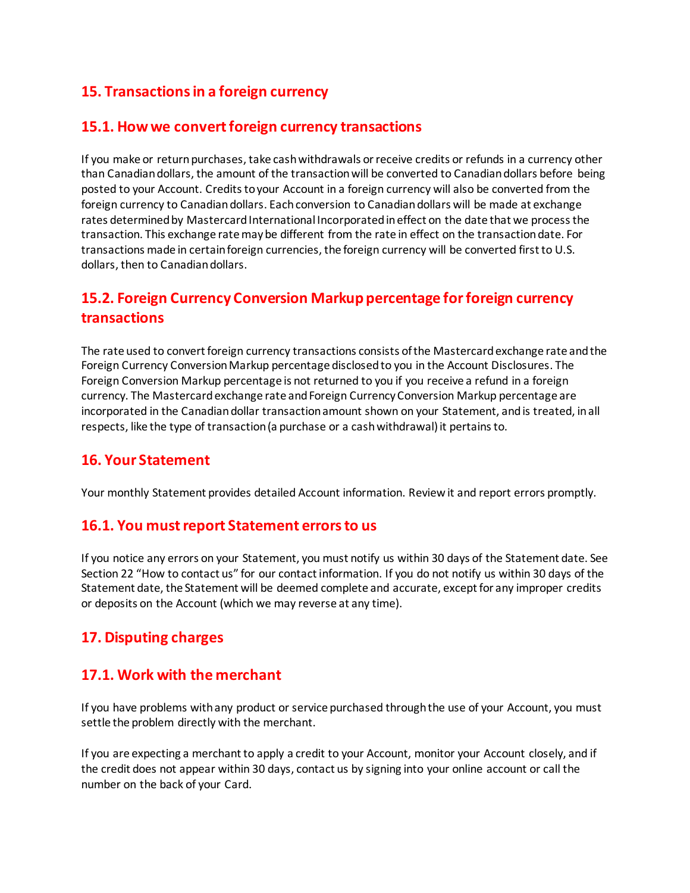## **15. Transactions in a foreign currency**

### **15.1. How we convert foreign currency transactions**

If you make or return purchases, take cash withdrawals or receive credits or refunds in a currency other than Canadian dollars, the amount of the transaction will be converted to Canadian dollars before being posted to your Account. Credits to your Account in a foreign currency will also be converted from the foreign currency to Canadian dollars. Each conversion to Canadian dollars will be made at exchange rates determined by Mastercard International Incorporated in effect on the date that we process the transaction. This exchange rate may be different from the rate in effect on the transaction date. For transactions made in certain foreign currencies, the foreign currency will be converted first to U.S. dollars, then to Canadian dollars.

## **15.2. Foreign Currency Conversion Markup percentage for foreign currency transactions**

The rate used to convert foreign currency transactions consists of the Mastercard exchange rate and the Foreign Currency Conversion Markup percentage disclosed to you in the Account Disclosures. The Foreign Conversion Markup percentage is not returned to you if you receive a refund in a foreign currency. The Mastercard exchange rate and Foreign Currency Conversion Markup percentage are incorporated in the Canadian dollar transaction amount shown on your Statement, and is treated, in all respects, like the type of transaction (a purchase or a cash withdrawal) it pertains to.

## **16. Your Statement**

Your monthly Statement provides detailed Account information. Review it and report errors promptly.

### **16.1. You must report Statement errors to us**

If you notice any errors on your Statement, you must notify us within 30 days of the Statement date. See Section 22 "How to contact us" for our contact information. If you do not notify us within 30 days of the Statement date, the Statement will be deemed complete and accurate, except for any improper credits or deposits on the Account (which we may reverse at any time).

## **17. Disputing charges**

### **17.1. Work with the merchant**

If you have problems with any product or service purchased through the use of your Account, you must settle the problem directly with the merchant.

If you are expecting a merchant to apply a credit to your Account, monitor your Account closely, and if the credit does not appear within 30 days, contact us by signing into your online account or call the number on the back of your Card.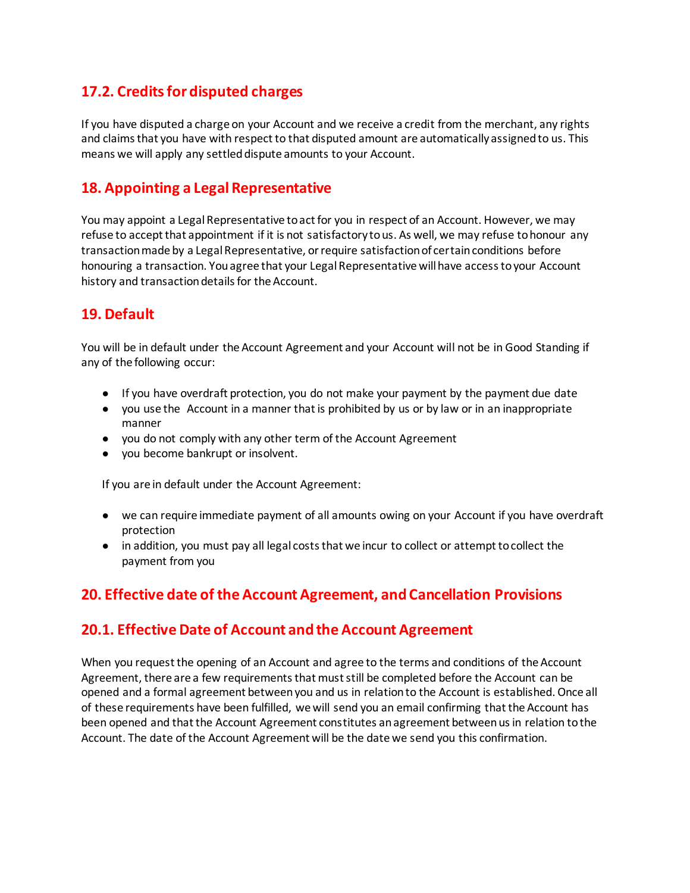## **17.2. Credits for disputed charges**

If you have disputed a charge on your Account and we receive a credit from the merchant, any rights and claims that you have with respect to that disputed amount are automatically assigned to us. This means we will apply any settled dispute amounts to your Account.

## **18. Appointing a Legal Representative**

You may appoint a Legal Representative to act for you in respect of an Account. However, we may refuse to accept that appointment if it is not satisfactory to us. As well, we may refuse to honour any transaction made by a Legal Representative, or require satisfaction of certain conditions before honouring a transaction. You agree that your Legal Representative will have access to your Account history and transaction details for the Account.

## **19. Default**

You will be in default under the Account Agreement and your Account will not be in Good Standing if any of the following occur:

- If you have overdraft protection, you do not make your payment by the payment due date
- you use the Account in a manner that is prohibited by us or by law or in an inappropriate manner
- you do not comply with any other term of the Account Agreement
- you become bankrupt or insolvent.

If you are in default under the Account Agreement:

- we can require immediate payment of all amounts owing on your Account if you have overdraft protection
- in addition, you must pay all legal costs that we incur to collect or attempt to collect the payment from you

## **20. Effective date of the Account Agreement, and Cancellation Provisions**

### **20.1. Effective Date of Account and the Account Agreement**

When you request the opening of an Account and agree to the terms and conditions of the Account Agreement, there are a few requirements that must still be completed before the Account can be opened and a formal agreement between you and us in relation to the Account is established. Once all of these requirements have been fulfilled, we will send you an email confirming that the Account has been opened and that the Account Agreement constitutes an agreement between us in relation to the Account. The date of the Account Agreement will be the date we send you this confirmation.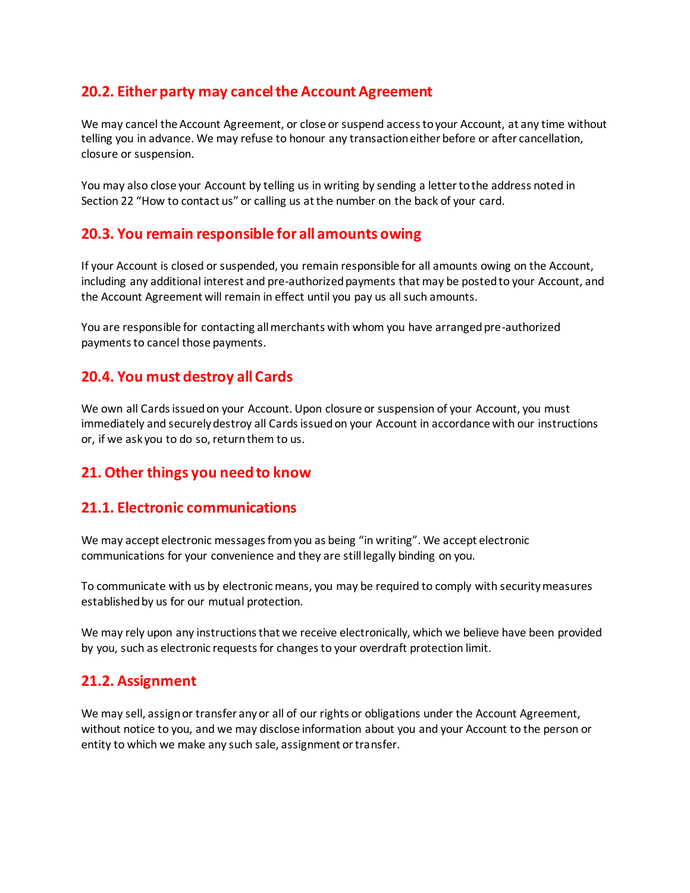## **20.2. Either party may cancel the Account Agreement**

We may cancel the Account Agreement, or close or suspend access to your Account, at any time without telling you in advance. We may refuse to honour any transaction either before or after cancellation, closure or suspension.

You may also close your Account by telling us in writing by sending a letter to the address noted in Section 22 "How to contact us" or calling us at the number on the back of your card.

## **20.3. You remain responsible for all amounts owing**

If your Account is closed or suspended, you remain responsible for all amounts owing on the Account, including any additional interest and pre-authorized payments that may be posted to your Account, and the Account Agreement will remain in effect until you pay us all such amounts.

You are responsible for contacting all merchants with whom you have arranged pre-authorized payments to cancel those payments.

## **20.4. You must destroy all Cards**

We own all Cards issued on your Account. Upon closure or suspension of your Account, you must immediately and securely destroy all Cards issued on your Account in accordance with our instructions or, if we ask you to do so, return them to us.

## **21. Other things you need to know**

### **21.1. Electronic communications**

We may accept electronic messages from you as being "in writing". We accept electronic communications for your convenience and they are still legally binding on you.

To communicate with us by electronic means, you may be required to comply with security measures established by us for our mutual protection.

We may rely upon any instructions that we receive electronically, which we believe have been provided by you, such as electronic requests for changes to your overdraft protection limit.

## **21.2. Assignment**

We may sell, assign or transfer any or all of our rights or obligations under the Account Agreement, without notice to you, and we may disclose information about you and your Account to the person or entity to which we make any such sale, assignment or transfer.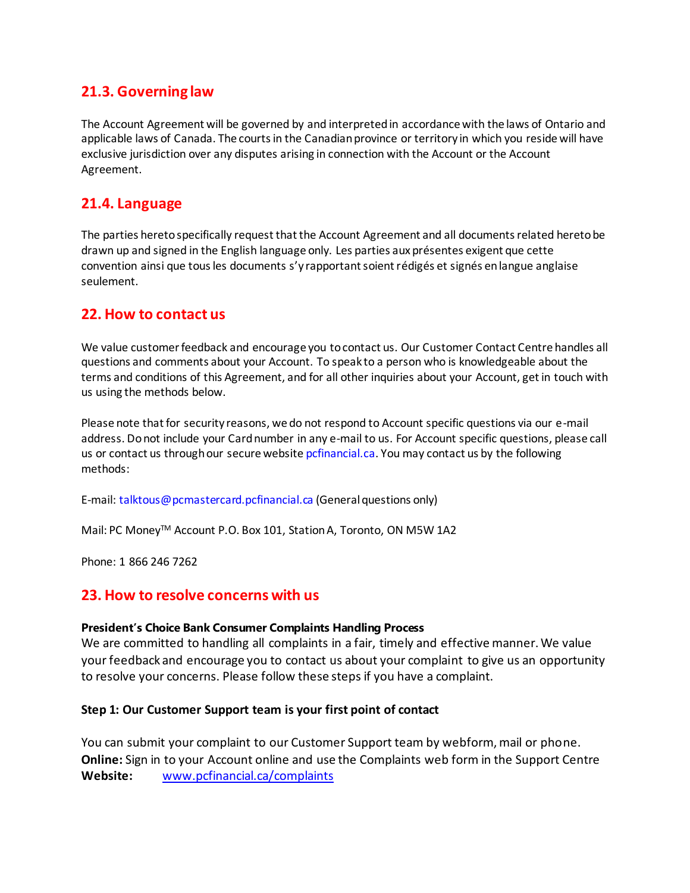## **21.3. Governing law**

The Account Agreement will be governed by and interpreted in accordance with the laws of Ontario and applicable laws of Canada. The courts in the Canadian province or territory in which you reside will have exclusive jurisdiction over any disputes arising in connection with the Account or the Account Agreement.

### **21.4. Language**

The parties hereto specifically request that the Account Agreement and all documents related hereto be drawn up and signed in the English language only. Les parties aux présentes exigent que cette convention ainsi que tous les documents s'y rapportant soient rédigés et signés en langue anglaise seulement.

### **22. How to contact us**

We value customer feedback and encourage you to contact us. Our Customer Contact Centre handles all questions and comments about your Account. To speak to a person who is knowledgeable about the terms and conditions of this Agreement, and for all other inquiries about your Account, get in touch with us using the methods below.

Please note that for security reasons, we do not respond to Account specific questions via our e-mail address. Do not include your Card number in any e-mail to us. For Account specific questions, please call us or contact us through our secure website pcfinancial.ca. You may contact us by the following methods:

E-mail: talktous@pcmastercard.pcfinancial.ca (General questions only)

Mail: PC Money™ Account P.O. Box 101, Station A, Toronto, ON M5W 1A2

Phone: 1 866 246 7262

#### **23. How to resolve concerns with us**

#### **President's Choice Bank Consumer Complaints Handling Process**

We are committed to handling all complaints in a fair, timely and effective manner. We value your feedback and encourage you to contact us about your complaint to give us an opportunity to resolve your concerns. Please follow these steps if you have a complaint.

#### **Step 1: Our Customer Support team is your first point of contact**

You can submit your complaint to our Customer Support team by webform, mail or phone. **Online:** Sign in to your Account online and use the Complaints web form in the Support Centre **Website:** [www.pcfinancial.ca/complaints](http://www.pcfinancial.ca/complaints)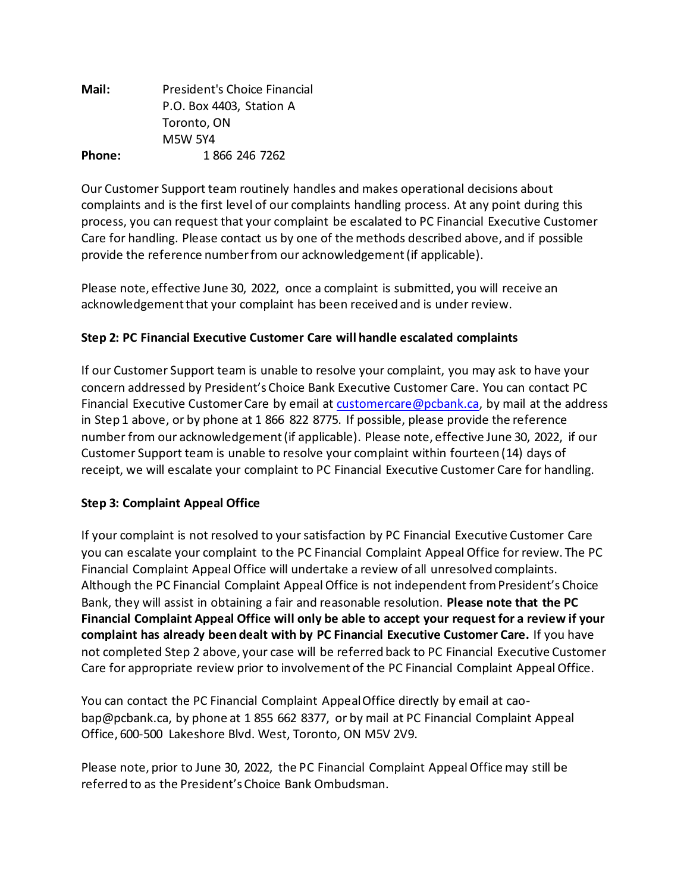| Mail:  | President's Choice Financial |
|--------|------------------------------|
|        | P.O. Box 4403, Station A     |
|        | Toronto, ON                  |
|        | <b>M5W 5Y4</b>               |
| Phone: | 1 866 246 7262               |

Our Customer Support team routinely handles and makes operational decisions about complaints and is the first level of our complaints handling process. At any point during this process, you can request that your complaint be escalated to PC Financial Executive Customer Care for handling. Please contact us by one of the methods described above, and if possible provide the reference number from our acknowledgement (if applicable).

Please note, effective June 30, 2022, once a complaint is submitted, you will receive an acknowledgement that your complaint has been received and is under review.

### **Step 2: PC Financial Executive Customer Care will handle escalated complaints**

If our Customer Support team is unable to resolve your complaint, you may ask to have your concern addressed by President's Choice Bank Executive Customer Care. You can contact PC Financial Executive Customer Care by email at [customercare@pcbank.ca,](mailto:customercare@pcbank.ca) by mail at the address in Step 1 above, or by phone at 1 866 822 8775. If possible, please provide the reference number from our acknowledgement (if applicable). Please note, effective June 30, 2022, if our Customer Support team is unable to resolve your complaint within fourteen (14) days of receipt, we will escalate your complaint to PC Financial Executive Customer Care for handling.

### **Step 3: Complaint Appeal Office**

If your complaint is not resolved to your satisfaction by PC Financial Executive Customer Care you can escalate your complaint to the PC Financial Complaint Appeal Office for review. The PC Financial Complaint Appeal Office will undertake a review of all unresolved complaints. Although the PC Financial Complaint Appeal Office is not independent from President's Choice Bank, they will assist in obtaining a fair and reasonable resolution. **Please note that the PC Financial Complaint Appeal Office will only be able to accept your request for a review if your complaint has already been dealt with by PC Financial Executive Customer Care.** If you have not completed Step 2 above, your case will be referred back to PC Financial Executive Customer Care for appropriate review prior to involvement of the PC Financial Complaint Appeal Office.

You can contact the PC Financial Complaint Appeal Office directly by email at caobap@pcbank.ca, by phone at 1 855 662 8377, or by mail at PC Financial Complaint Appeal Office, 600-500 Lakeshore Blvd. West, Toronto, ON M5V 2V9.

Please note, prior to June 30, 2022, the PC Financial Complaint Appeal Office may still be referred to as the President's Choice Bank Ombudsman.